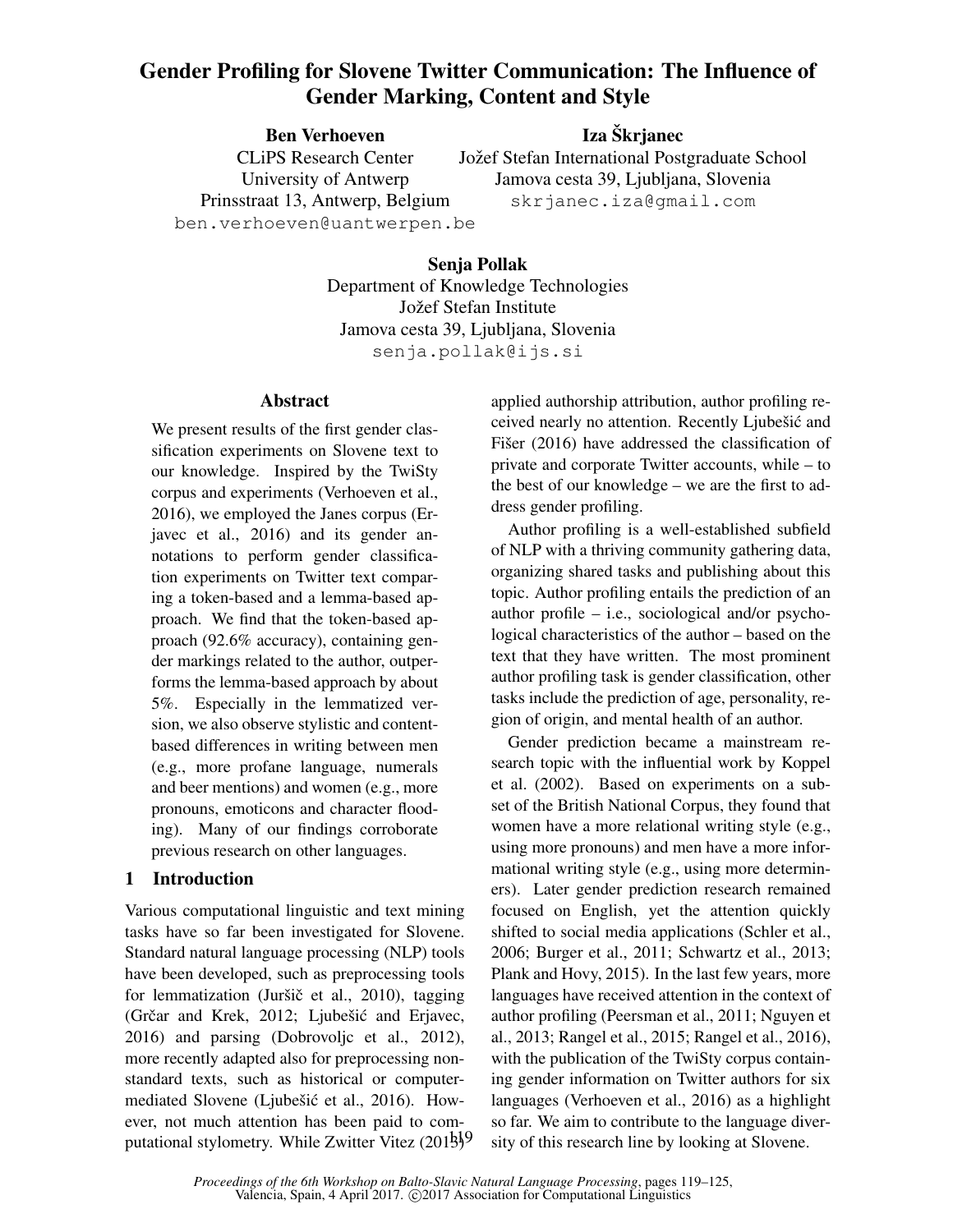# Gender Profiling for Slovene Twitter Communication: The Influence of Gender Marking, Content and Style

Ben Verhoeven CLiPS Research Center University of Antwerp Prinsstraat 13, Antwerp, Belgium ben.verhoeven@uantwerpen.be Iza Škrjanec

Jožef Stefan International Postgraduate School Jamova cesta 39, Ljubljana, Slovenia skrjanec.iza@gmail.com

Senja Pollak Department of Knowledge Technologies Jožef Stefan Institute Jamova cesta 39, Ljubljana, Slovenia senja.pollak@ijs.si

## Abstract

We present results of the first gender classification experiments on Slovene text to our knowledge. Inspired by the TwiSty corpus and experiments (Verhoeven et al., 2016), we employed the Janes corpus (Erjavec et al., 2016) and its gender annotations to perform gender classification experiments on Twitter text comparing a token-based and a lemma-based approach. We find that the token-based approach (92.6% accuracy), containing gender markings related to the author, outperforms the lemma-based approach by about 5%. Especially in the lemmatized version, we also observe stylistic and contentbased differences in writing between men (e.g., more profane language, numerals and beer mentions) and women (e.g., more pronouns, emoticons and character flooding). Many of our findings corroborate previous research on other languages.

## 1 Introduction

Various computational linguistic and text mining tasks have so far been investigated for Slovene. Standard natural language processing (NLP) tools have been developed, such as preprocessing tools for lemmatization (Juršič et al., 2010), tagging (Grčar and Krek,  $2012$ ; Ljubešić and Erjavec, 2016) and parsing (Dobrovoljc et al., 2012), more recently adapted also for preprocessing nonstandard texts, such as historical or computermediated Slovene (Ljubešić et al., 2016). However, not much attention has been paid to computational stylometry. While Zwitter Vitez (201<sup>1</sup>5)<sup>9</sup>

applied authorship attribution, author profiling received nearly no attention. Recently Ljubešić and Fišer  $(2016)$  have addressed the classification of private and corporate Twitter accounts, while – to the best of our knowledge – we are the first to address gender profiling.

Author profiling is a well-established subfield of NLP with a thriving community gathering data, organizing shared tasks and publishing about this topic. Author profiling entails the prediction of an author profile – i.e., sociological and/or psychological characteristics of the author – based on the text that they have written. The most prominent author profiling task is gender classification, other tasks include the prediction of age, personality, region of origin, and mental health of an author.

Gender prediction became a mainstream research topic with the influential work by Koppel et al. (2002). Based on experiments on a subset of the British National Corpus, they found that women have a more relational writing style (e.g., using more pronouns) and men have a more informational writing style (e.g., using more determiners). Later gender prediction research remained focused on English, yet the attention quickly shifted to social media applications (Schler et al., 2006; Burger et al., 2011; Schwartz et al., 2013; Plank and Hovy, 2015). In the last few years, more languages have received attention in the context of author profiling (Peersman et al., 2011; Nguyen et al., 2013; Rangel et al., 2015; Rangel et al., 2016), with the publication of the TwiSty corpus containing gender information on Twitter authors for six languages (Verhoeven et al., 2016) as a highlight so far. We aim to contribute to the language diversity of this research line by looking at Slovene.

*Proceedings of the 6th Workshop on Balto-Slavic Natural Language Processing*, pages 119–125, Valencia, Spain, 4 April 2017. ©2017 Association for Computational Linguistics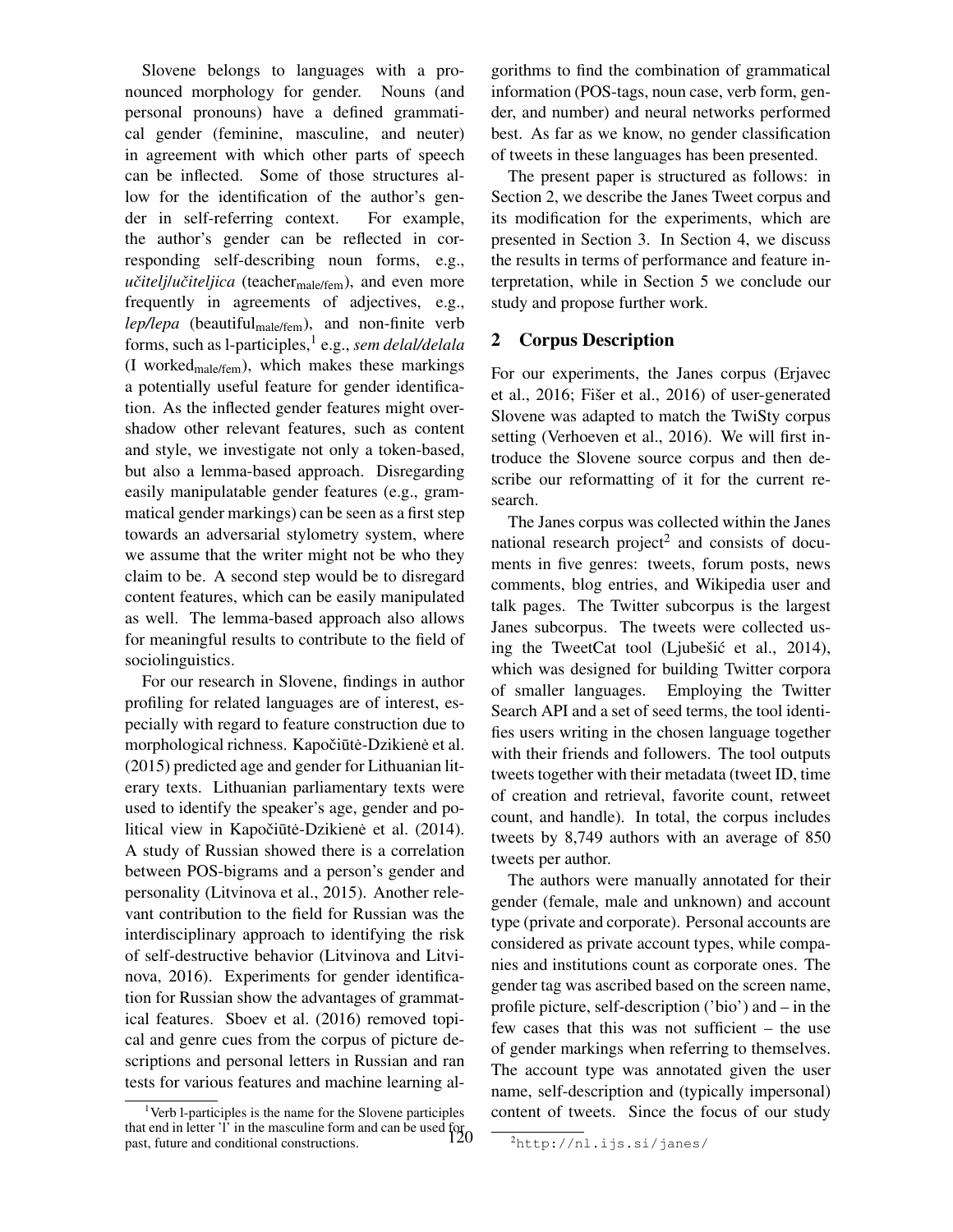Slovene belongs to languages with a pronounced morphology for gender. Nouns (and personal pronouns) have a defined grammatical gender (feminine, masculine, and neuter) in agreement with which other parts of speech can be inflected. Some of those structures allow for the identification of the author's gender in self-referring context. For example, the author's gender can be reflected in corresponding self-describing noun forms, e.g., *učitelj/učiteljica* (teacher<sub>male/fem</sub>), and even more frequently in agreements of adjectives, e.g., lep/lepa (beautiful<sub>male/fem</sub>), and non-finite verb forms, such as l-participles,<sup>1</sup> e.g., *sem delal/delala* (I worked $_{male/fem}$ ), which makes these markings a potentially useful feature for gender identification. As the inflected gender features might overshadow other relevant features, such as content and style, we investigate not only a token-based, but also a lemma-based approach. Disregarding easily manipulatable gender features (e.g., grammatical gender markings) can be seen as a first step towards an adversarial stylometry system, where we assume that the writer might not be who they claim to be. A second step would be to disregard content features, which can be easily manipulated as well. The lemma-based approach also allows for meaningful results to contribute to the field of sociolinguistics.

For our research in Slovene, findings in author profiling for related languages are of interest, especially with regard to feature construction due to morphological richness. Kapočiūtė-Dzikienė et al. (2015) predicted age and gender for Lithuanian literary texts. Lithuanian parliamentary texts were used to identify the speaker's age, gender and political view in Kapočiūtė-Dzikienė et al. (2014). A study of Russian showed there is a correlation between POS-bigrams and a person's gender and personality (Litvinova et al., 2015). Another relevant contribution to the field for Russian was the interdisciplinary approach to identifying the risk of self-destructive behavior (Litvinova and Litvinova, 2016). Experiments for gender identification for Russian show the advantages of grammatical features. Sboev et al. (2016) removed topical and genre cues from the corpus of picture descriptions and personal letters in Russian and ran tests for various features and machine learning al-

<sup>1</sup>Verb 1-participles is the name for the Slovene participles that end in letter 'l' in the masculine form and can be used for 120past, future and conditional constructions.

gorithms to find the combination of grammatical information (POS-tags, noun case, verb form, gender, and number) and neural networks performed best. As far as we know, no gender classification of tweets in these languages has been presented.

The present paper is structured as follows: in Section 2, we describe the Janes Tweet corpus and its modification for the experiments, which are presented in Section 3. In Section 4, we discuss the results in terms of performance and feature interpretation, while in Section 5 we conclude our study and propose further work.

## 2 Corpus Description

For our experiments, the Janes corpus (Erjavec et al.,  $2016$ ; Fiser et al.,  $2016$ ) of user-generated Slovene was adapted to match the TwiSty corpus setting (Verhoeven et al., 2016). We will first introduce the Slovene source corpus and then describe our reformatting of it for the current research.

The Janes corpus was collected within the Janes national research project<sup>2</sup> and consists of documents in five genres: tweets, forum posts, news comments, blog entries, and Wikipedia user and talk pages. The Twitter subcorpus is the largest Janes subcorpus. The tweets were collected using the TweetCat tool (Ljubešić et al., 2014), which was designed for building Twitter corpora of smaller languages. Employing the Twitter Search API and a set of seed terms, the tool identifies users writing in the chosen language together with their friends and followers. The tool outputs tweets together with their metadata (tweet ID, time of creation and retrieval, favorite count, retweet count, and handle). In total, the corpus includes tweets by 8,749 authors with an average of 850 tweets per author.

The authors were manually annotated for their gender (female, male and unknown) and account type (private and corporate). Personal accounts are considered as private account types, while companies and institutions count as corporate ones. The gender tag was ascribed based on the screen name, profile picture, self-description ('bio') and – in the few cases that this was not sufficient – the use of gender markings when referring to themselves. The account type was annotated given the user name, self-description and (typically impersonal) content of tweets. Since the focus of our study

<sup>2</sup>http://nl.ijs.si/janes/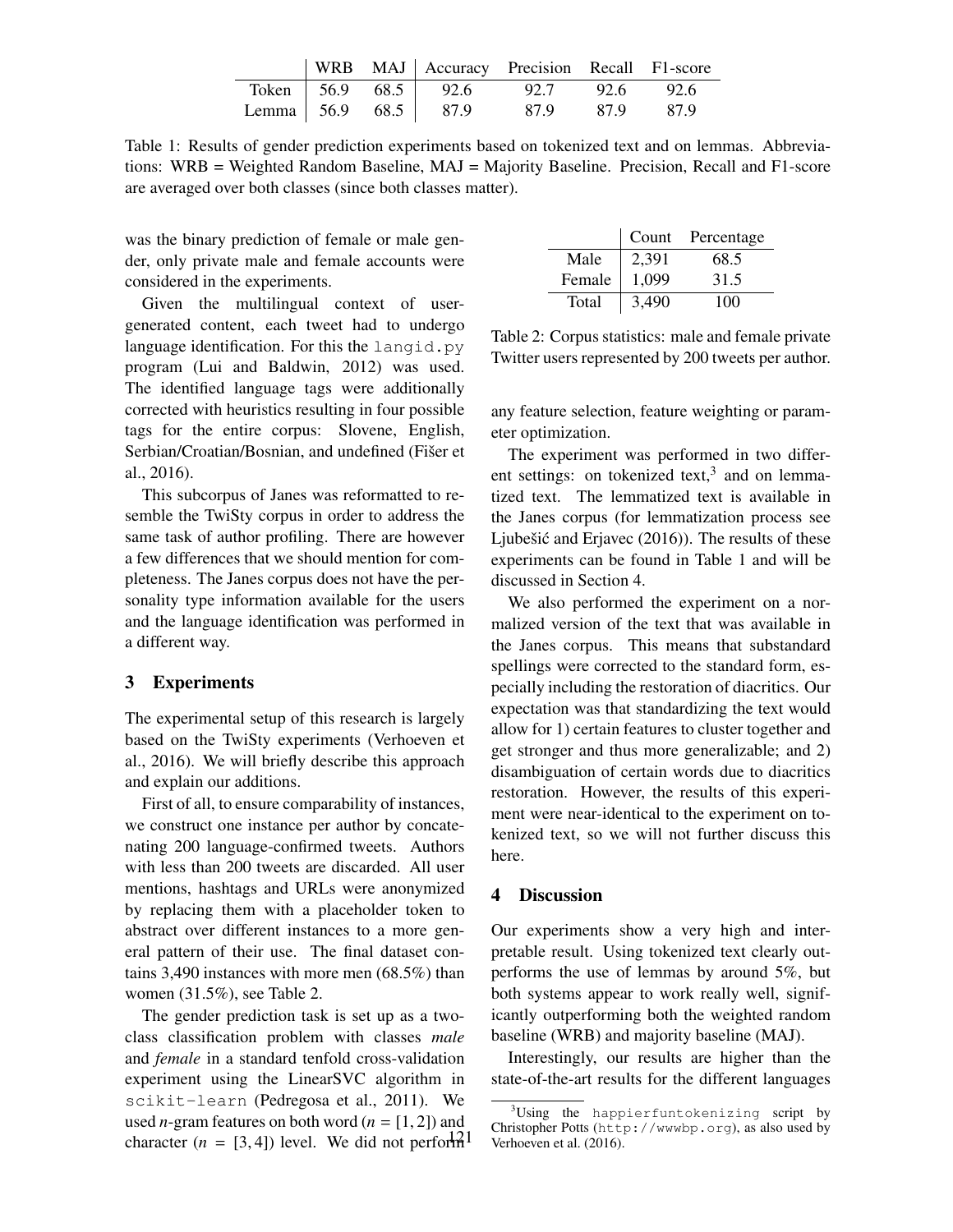|  | WRB MAJ   Accuracy Precision Recall F1-score |  |  |
|--|----------------------------------------------|--|--|
|  | Token 56.9 68.5 92.6 92.7 92.6 92.6          |  |  |
|  | Lemma 56.9 68.5 87.9 87.9 87.9 87.9          |  |  |

Table 1: Results of gender prediction experiments based on tokenized text and on lemmas. Abbreviations: WRB = Weighted Random Baseline, MAJ = Majority Baseline. Precision, Recall and F1-score are averaged over both classes (since both classes matter).

was the binary prediction of female or male gender, only private male and female accounts were considered in the experiments.

Given the multilingual context of usergenerated content, each tweet had to undergo language identification. For this the langid.py program (Lui and Baldwin, 2012) was used. The identified language tags were additionally corrected with heuristics resulting in four possible tags for the entire corpus: Slovene, English, Serbian/Croatian/Bosnian, and undefined (Fišer et al., 2016).

This subcorpus of Janes was reformatted to resemble the TwiSty corpus in order to address the same task of author profiling. There are however a few differences that we should mention for completeness. The Janes corpus does not have the personality type information available for the users and the language identification was performed in a different way.

#### 3 Experiments

The experimental setup of this research is largely based on the TwiSty experiments (Verhoeven et al., 2016). We will briefly describe this approach and explain our additions.

First of all, to ensure comparability of instances, we construct one instance per author by concatenating 200 language-confirmed tweets. Authors with less than 200 tweets are discarded. All user mentions, hashtags and URLs were anonymized by replacing them with a placeholder token to abstract over different instances to a more general pattern of their use. The final dataset contains 3,490 instances with more men (68.5%) than women (31.5%), see Table 2.

The gender prediction task is set up as a twoclass classification problem with classes *male* and *female* in a standard tenfold cross-validation experiment using the LinearSVC algorithm in scikit-learn (Pedregosa et al., 2011). We used *n*-gram features on both word ( $n = [1, 2]$ ) and character  $(n = [3, 4])$  level. We did not perform<sup>12</sup>

|        | Count | Percentage |
|--------|-------|------------|
| Male   | 2,391 | 68.5       |
| Female | 1,099 | 31.5       |
| Total  | 3,490 | 100        |

Table 2: Corpus statistics: male and female private Twitter users represented by 200 tweets per author.

any feature selection, feature weighting or parameter optimization.

The experiment was performed in two different settings: on tokenized text, $3$  and on lemmatized text. The lemmatized text is available in the Janes corpus (for lemmatization process see Ljubešić and Erjavec  $(2016)$ ). The results of these experiments can be found in Table 1 and will be discussed in Section 4.

We also performed the experiment on a normalized version of the text that was available in the Janes corpus. This means that substandard spellings were corrected to the standard form, especially including the restoration of diacritics. Our expectation was that standardizing the text would allow for 1) certain features to cluster together and get stronger and thus more generalizable; and 2) disambiguation of certain words due to diacritics restoration. However, the results of this experiment were near-identical to the experiment on tokenized text, so we will not further discuss this here.

#### 4 Discussion

Our experiments show a very high and interpretable result. Using tokenized text clearly outperforms the use of lemmas by around 5%, but both systems appear to work really well, significantly outperforming both the weighted random baseline (WRB) and majority baseline (MAJ).

Interestingly, our results are higher than the state-of-the-art results for the different languages

 $3$ Using the happierfuntokenizing script by Christopher Potts (http://wwwbp.org), as also used by Verhoeven et al. (2016).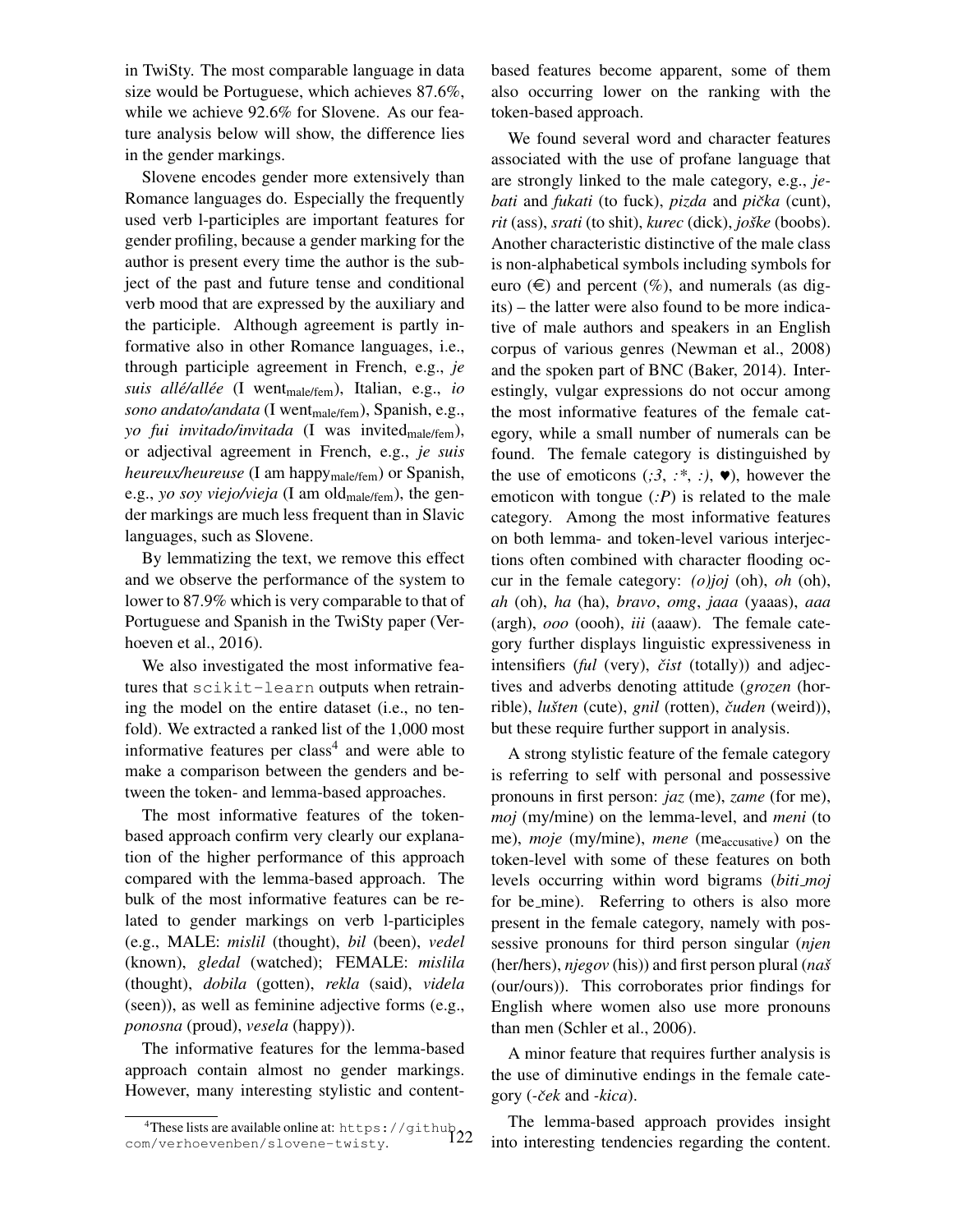in TwiSty. The most comparable language in data size would be Portuguese, which achieves 87.6%, while we achieve 92.6% for Slovene. As our feature analysis below will show, the difference lies in the gender markings.

Slovene encodes gender more extensively than Romance languages do. Especially the frequently used verb l-participles are important features for gender profiling, because a gender marking for the author is present every time the author is the subject of the past and future tense and conditional verb mood that are expressed by the auxiliary and the participle. Although agreement is partly informative also in other Romance languages, i.e., through participle agreement in French, e.g., *je suis allé/allée* (I went<sub>male/fem</sub>), Italian, e.g., *io* sono andato/andata (I went<sub>male/fem</sub>), Spanish, e.g., *yo fui invitado/invitada* (I was invited<sub>male/fem</sub>), or adjectival agreement in French, e.g., *je suis heureux/heureuse* (I am happy<sub>male/fem</sub>) or Spanish, e.g., *yo soy viejo/vieja* (I am old<sub>male/fem</sub>), the gender markings are much less frequent than in Slavic languages, such as Slovene.

By lemmatizing the text, we remove this effect and we observe the performance of the system to lower to 87.9% which is very comparable to that of Portuguese and Spanish in the TwiSty paper (Verhoeven et al., 2016).

We also investigated the most informative features that scikit-learn outputs when retraining the model on the entire dataset (i.e., no tenfold). We extracted a ranked list of the 1,000 most informative features per class<sup>4</sup> and were able to make a comparison between the genders and between the token- and lemma-based approaches.

The most informative features of the tokenbased approach confirm very clearly our explanation of the higher performance of this approach compared with the lemma-based approach. The bulk of the most informative features can be related to gender markings on verb l-participles (e.g., MALE: *mislil* (thought), *bil* (been), *vedel* (known), *gledal* (watched); FEMALE: *mislila* (thought), *dobila* (gotten), *rekla* (said), *videla* (seen)), as well as feminine adjective forms (e.g., *ponosna* (proud), *vesela* (happy)).

The informative features for the lemma-based approach contain almost no gender markings. However, many interesting stylistic and content-

based features become apparent, some of them also occurring lower on the ranking with the token-based approach.

We found several word and character features associated with the use of profane language that are strongly linked to the male category, e.g., *jebati* and *fukati* (to fuck), *pizda* and *pička* (cunt), *rit* (ass), *srati* (to shit), *kurec* (dick), *joške* (boobs). Another characteristic distinctive of the male class is non-alphabetical symbols including symbols for euro  $(\epsilon)$  and percent  $(\%)$ , and numerals (as digits) – the latter were also found to be more indicative of male authors and speakers in an English corpus of various genres (Newman et al., 2008) and the spoken part of BNC (Baker, 2014). Interestingly, vulgar expressions do not occur among the most informative features of the female category, while a small number of numerals can be found. The female category is distinguished by the use of emoticons  $(.3, :*, :), \blacktriangleright$ , however the emoticon with tongue (*:P*) is related to the male category. Among the most informative features on both lemma- and token-level various interjections often combined with character flooding occur in the female category: *(o)joj* (oh), *oh* (oh), *ah* (oh), *ha* (ha), *bravo*, *omg*, *jaaa* (yaaas), *aaa* (argh), *ooo* (oooh), *iii* (aaaw). The female category further displays linguistic expressiveness in intensifiers (*ful* (very), *čist* (totally)) and adjectives and adverbs denoting attitude (*grozen* (horrible), *lušten* (cute), *gnil* (rotten), *čuden* (weird)), but these require further support in analysis.

A strong stylistic feature of the female category is referring to self with personal and possessive pronouns in first person: *jaz* (me), *zame* (for me), *moj* (my/mine) on the lemma-level, and *meni* (to me), *moje* (my/mine), *mene* (me<sub>accusative) on the</sub> token-level with some of these features on both levels occurring within word bigrams (*biti moj* for be mine). Referring to others is also more present in the female category, namely with possessive pronouns for third person singular (*njen* (her/hers), *njegov* (his)) and first person plural (*nasˇ* (our/ours)). This corroborates prior findings for English where women also use more pronouns than men (Schler et al., 2006).

A minor feature that requires further analysis is the use of diminutive endings in the female category (*-cek ˇ* and *-kica*).

The lemma-based approach provides insight into interesting tendencies regarding the content.

<sup>&</sup>lt;sup>4</sup>These lists are available online at: https://github.<br>n/verhoevenben/slovene-twisty. com/verhoevenben/slovene-twisty.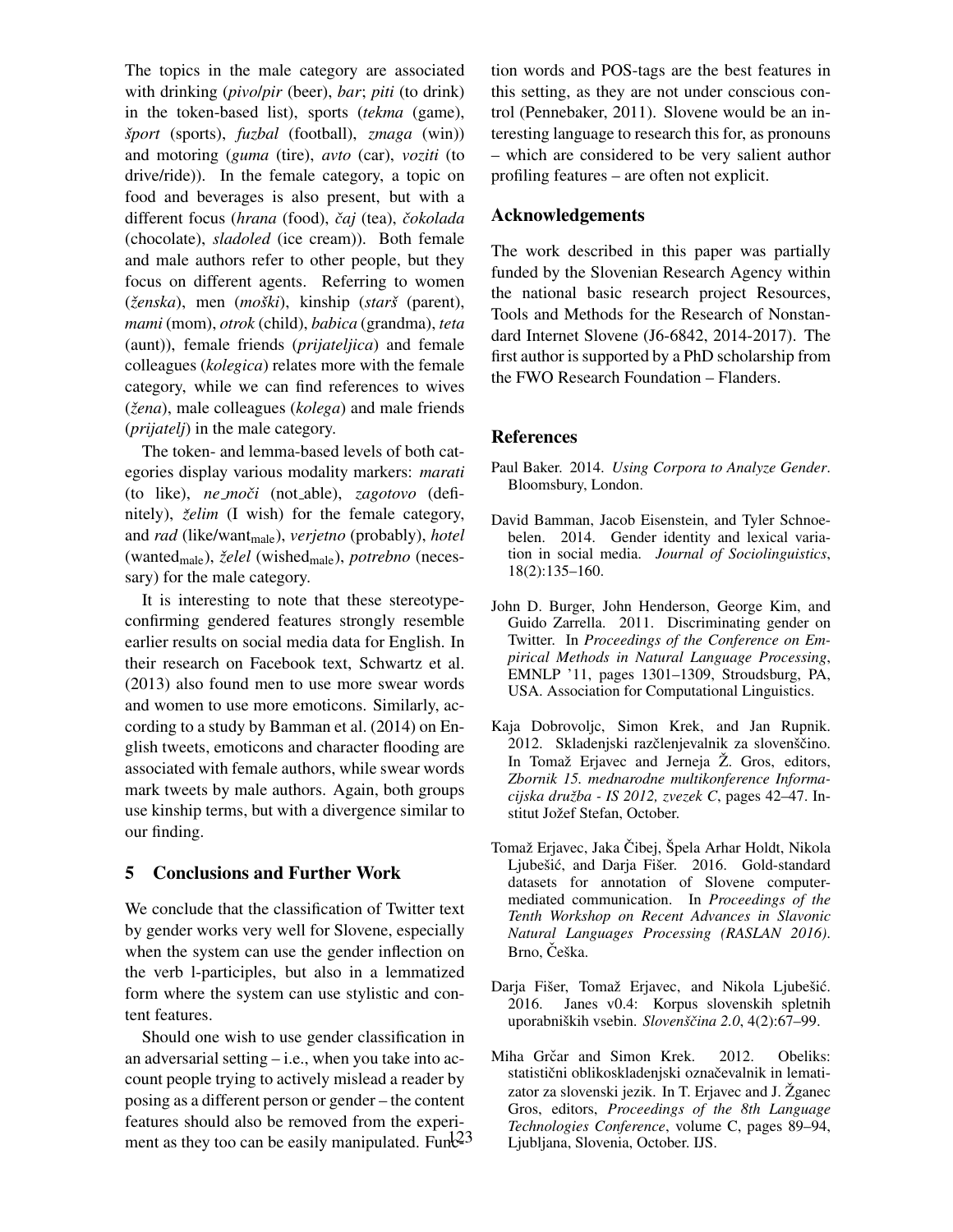The topics in the male category are associated with drinking (*pivo*/*pir* (beer), *bar*; *piti* (to drink) in the token-based list), sports (*tekma* (game), *sport ˇ* (sports), *fuzbal* (football), *zmaga* (win)) and motoring (*guma* (tire), *avto* (car), *voziti* (to drive/ride)). In the female category, a topic on food and beverages is also present, but with a different focus (*hrana* (food), *caj ˇ* (tea), *cokolada ˇ* (chocolate), *sladoled* (ice cream)). Both female and male authors refer to other people, but they focus on different agents. Referring to women (*zenska ˇ* ), men (*moski ˇ* ), kinship (*starsˇ* (parent), *mami* (mom), *otrok* (child), *babica* (grandma), *teta* (aunt)), female friends (*prijateljica*) and female colleagues (*kolegica*) relates more with the female category, while we can find references to wives (*žena*), male colleagues (*kolega*) and male friends (*prijatelj*) in the male category.

The token- and lemma-based levels of both categories display various modality markers: *marati* (to like), *ne mociˇ* (not able), *zagotovo* (definitely), *želim* (I wish) for the female category, and *rad* (like/want<sub>male</sub>), *verjetno* (probably), *hotel* (wantedmale), *zelel ˇ* (wishedmale), *potrebno* (necessary) for the male category.

It is interesting to note that these stereotypeconfirming gendered features strongly resemble earlier results on social media data for English. In their research on Facebook text, Schwartz et al. (2013) also found men to use more swear words and women to use more emoticons. Similarly, according to a study by Bamman et al. (2014) on English tweets, emoticons and character flooding are associated with female authors, while swear words mark tweets by male authors. Again, both groups use kinship terms, but with a divergence similar to our finding.

## 5 Conclusions and Further Work

We conclude that the classification of Twitter text by gender works very well for Slovene, especially when the system can use the gender inflection on the verb l-participles, but also in a lemmatized form where the system can use stylistic and content features.

Should one wish to use gender classification in an adversarial setting – i.e., when you take into account people trying to actively mislead a reader by posing as a different person or gender – the content features should also be removed from the experiment as they too can be easily manipulated. Fun $\frac{23}{3}$ 

tion words and POS-tags are the best features in this setting, as they are not under conscious control (Pennebaker, 2011). Slovene would be an interesting language to research this for, as pronouns – which are considered to be very salient author profiling features – are often not explicit.

## Acknowledgements

The work described in this paper was partially funded by the Slovenian Research Agency within the national basic research project Resources, Tools and Methods for the Research of Nonstandard Internet Slovene (J6-6842, 2014-2017). The first author is supported by a PhD scholarship from the FWO Research Foundation – Flanders.

## References

- Paul Baker. 2014. *Using Corpora to Analyze Gender*. Bloomsbury, London.
- David Bamman, Jacob Eisenstein, and Tyler Schnoebelen. 2014. Gender identity and lexical variation in social media. *Journal of Sociolinguistics*, 18(2):135–160.
- John D. Burger, John Henderson, George Kim, and Guido Zarrella. 2011. Discriminating gender on Twitter. In *Proceedings of the Conference on Empirical Methods in Natural Language Processing*, EMNLP '11, pages 1301–1309, Stroudsburg, PA, USA. Association for Computational Linguistics.
- Kaja Dobrovoljc, Simon Krek, and Jan Rupnik. 2012. Skladenjski razčlenjevalnik za slovenščino. In Tomaž Erjavec and Jerneja Ž. Gros, editors, *Zbornik 15. mednarodne multikonference Informacijska druzba - IS 2012, zvezek C ˇ* , pages 42–47. Institut Jožef Stefan, October.
- Tomaž Erjavec, Jaka Čibej, Špela Arhar Holdt, Nikola Ljubešić, and Darja Fišer. 2016. Gold-standard datasets for annotation of Slovene computermediated communication. In *Proceedings of the Tenth Workshop on Recent Advances in Slavonic Natural Languages Processing (RASLAN 2016)*. Brno, Češka.
- Darja Fišer, Tomaž Erjavec, and Nikola Ljubešić. 2016. Janes v0.4: Korpus slovenskih spletnih uporabniških vsebin. *Slovenščina* 2.0, 4(2):67–99.
- Miha Grčar and Simon Krek. 2012. Obeliks: statistični oblikoskladenjski označevalnik in lematizator za slovenski jezik. In T. Erjavec and J.  $\check{Z}$ ganec Gros, editors, *Proceedings of the 8th Language Technologies Conference*, volume C, pages 89–94, Ljubljana, Slovenia, October. IJS.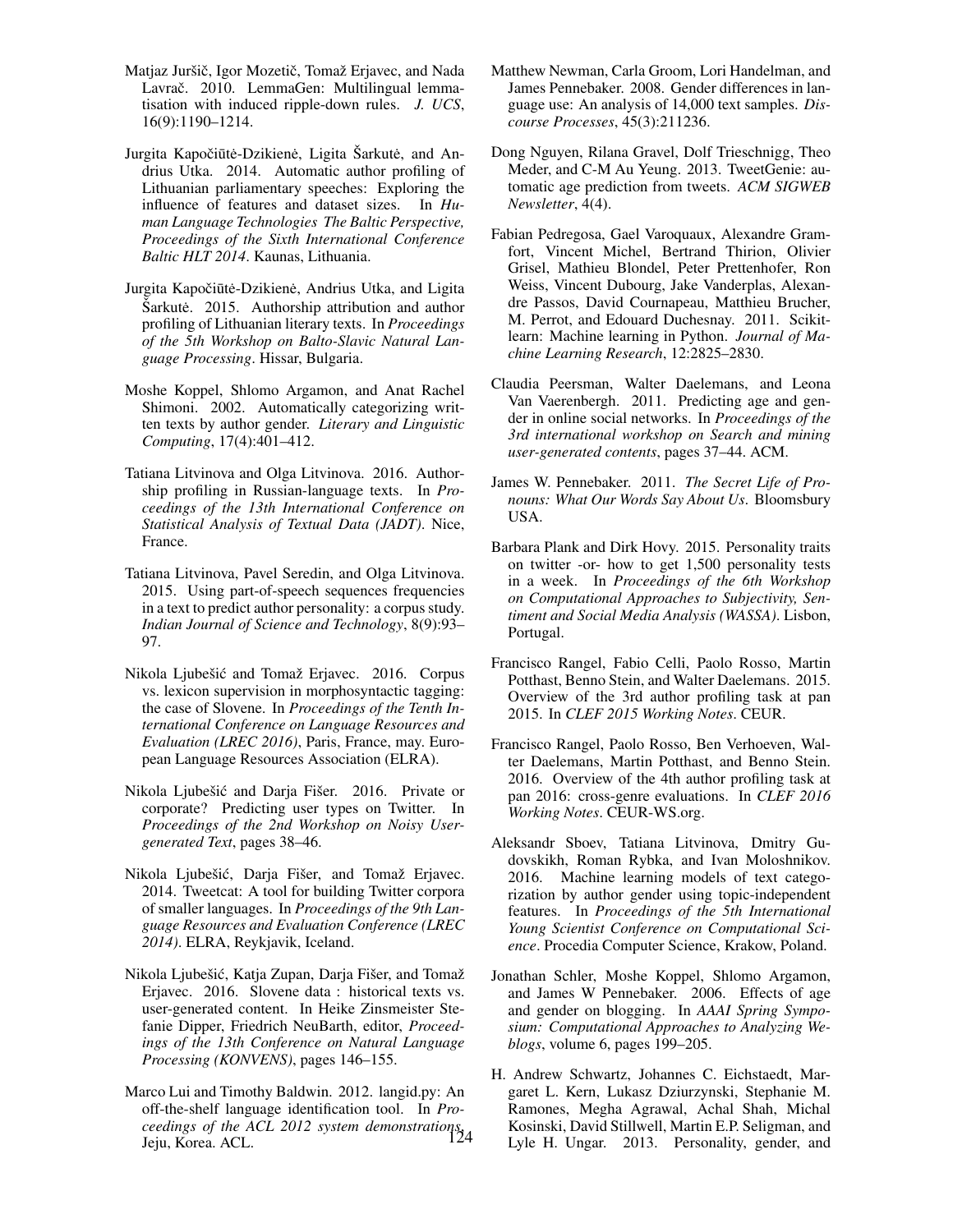- Matjaz Juršič, Igor Mozetič, Tomaž Erjavec, and Nada Lavrač. 2010. LemmaGen: Multilingual lemmatisation with induced ripple-down rules. *J. UCS*, 16(9):1190–1214.
- Jurgita Kapočiūtė-Dzikienė, Ligita Šarkutė, and Andrius Utka. 2014. Automatic author profiling of Lithuanian parliamentary speeches: Exploring the influence of features and dataset sizes. In *Human Language Technologies The Baltic Perspective, Proceedings of the Sixth International Conference Baltic HLT 2014*. Kaunas, Lithuania.
- Jurgita Kapočiūtė-Dzikienė, Andrius Utka, and Ligita Sarkutė. 2015. Authorship attribution and author profiling of Lithuanian literary texts. In *Proceedings of the 5th Workshop on Balto-Slavic Natural Language Processing*. Hissar, Bulgaria.
- Moshe Koppel, Shlomo Argamon, and Anat Rachel Shimoni. 2002. Automatically categorizing written texts by author gender. *Literary and Linguistic Computing*, 17(4):401–412.
- Tatiana Litvinova and Olga Litvinova. 2016. Authorship profiling in Russian-language texts. In *Proceedings of the 13th International Conference on Statistical Analysis of Textual Data (JADT)*. Nice, France.
- Tatiana Litvinova, Pavel Seredin, and Olga Litvinova. 2015. Using part-of-speech sequences frequencies in a text to predict author personality: a corpus study. *Indian Journal of Science and Technology*, 8(9):93– 97.
- Nikola Ljubešić and Tomaž Erjavec. 2016. Corpus vs. lexicon supervision in morphosyntactic tagging: the case of Slovene. In *Proceedings of the Tenth International Conference on Language Resources and Evaluation (LREC 2016)*, Paris, France, may. European Language Resources Association (ELRA).
- Nikola Ljubešić and Darja Fišer. 2016. Private or corporate? Predicting user types on Twitter. In *Proceedings of the 2nd Workshop on Noisy Usergenerated Text*, pages 38–46.
- Nikola Ljubešić, Darja Fišer, and Tomaž Erjavec. 2014. Tweetcat: A tool for building Twitter corpora of smaller languages. In *Proceedings of the 9th Language Resources and Evaluation Conference (LREC 2014)*. ELRA, Reykjavik, Iceland.
- Nikola Ljubešić, Katja Zupan, Darja Fišer, and Tomaž Erjavec. 2016. Slovene data : historical texts vs. user-generated content. In Heike Zinsmeister Stefanie Dipper, Friedrich NeuBarth, editor, *Proceedings of the 13th Conference on Natural Language Processing (KONVENS)*, pages 146–155.
- Marco Lui and Timothy Baldwin. 2012. langid.py: An off-the-shelf language identification tool. In *Proceedings of the ACL 2012 system demonstrations*, 124Jeju, Korea. ACL.
- Matthew Newman, Carla Groom, Lori Handelman, and James Pennebaker. 2008. Gender differences in language use: An analysis of 14,000 text samples. *Discourse Processes*, 45(3):211236.
- Dong Nguyen, Rilana Gravel, Dolf Trieschnigg, Theo Meder, and C-M Au Yeung. 2013. TweetGenie: automatic age prediction from tweets. *ACM SIGWEB Newsletter*, 4(4).
- Fabian Pedregosa, Gael Varoquaux, Alexandre Gramfort, Vincent Michel, Bertrand Thirion, Olivier Grisel, Mathieu Blondel, Peter Prettenhofer, Ron Weiss, Vincent Dubourg, Jake Vanderplas, Alexandre Passos, David Cournapeau, Matthieu Brucher, M. Perrot, and Edouard Duchesnay. 2011. Scikitlearn: Machine learning in Python. *Journal of Machine Learning Research*, 12:2825–2830.
- Claudia Peersman, Walter Daelemans, and Leona Van Vaerenbergh. 2011. Predicting age and gender in online social networks. In *Proceedings of the 3rd international workshop on Search and mining user-generated contents*, pages 37–44. ACM.
- James W. Pennebaker. 2011. *The Secret Life of Pronouns: What Our Words Say About Us*. Bloomsbury USA.
- Barbara Plank and Dirk Hovy. 2015. Personality traits on twitter -or- how to get 1,500 personality tests in a week. In *Proceedings of the 6th Workshop on Computational Approaches to Subjectivity, Sentiment and Social Media Analysis (WASSA)*. Lisbon, Portugal.
- Francisco Rangel, Fabio Celli, Paolo Rosso, Martin Potthast, Benno Stein, and Walter Daelemans. 2015. Overview of the 3rd author profiling task at pan 2015. In *CLEF 2015 Working Notes*. CEUR.
- Francisco Rangel, Paolo Rosso, Ben Verhoeven, Walter Daelemans, Martin Potthast, and Benno Stein. 2016. Overview of the 4th author profiling task at pan 2016: cross-genre evaluations. In *CLEF 2016 Working Notes*. CEUR-WS.org.
- Aleksandr Sboev, Tatiana Litvinova, Dmitry Gudovskikh, Roman Rybka, and Ivan Moloshnikov. 2016. Machine learning models of text categorization by author gender using topic-independent features. In *Proceedings of the 5th International Young Scientist Conference on Computational Science*. Procedia Computer Science, Krakow, Poland.
- Jonathan Schler, Moshe Koppel, Shlomo Argamon, and James W Pennebaker. 2006. Effects of age and gender on blogging. In *AAAI Spring Symposium: Computational Approaches to Analyzing Weblogs*, volume 6, pages 199–205.
- H. Andrew Schwartz, Johannes C. Eichstaedt, Margaret L. Kern, Lukasz Dziurzynski, Stephanie M. Ramones, Megha Agrawal, Achal Shah, Michal Kosinski, David Stillwell, Martin E.P. Seligman, and Lyle H. Ungar. 2013. Personality, gender, and